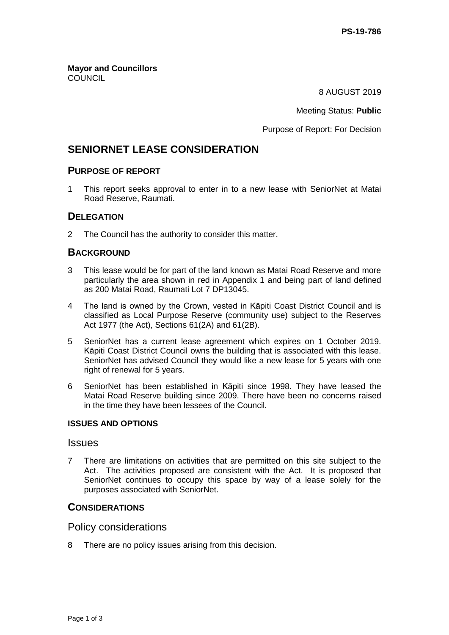**Mayor and Councillors COUNCIL** 

8 AUGUST 2019

Meeting Status: **Public**

Purpose of Report: For Decision

# **SENIORNET LEASE CONSIDERATION**

## **PURPOSE OF REPORT**

1 This report seeks approval to enter in to a new lease with SeniorNet at Matai Road Reserve, Raumati.

## **DELEGATION**

2 The Council has the authority to consider this matter.

## **BACKGROUND**

- 3 This lease would be for part of the land known as Matai Road Reserve and more particularly the area shown in red in Appendix 1 and being part of land defined as 200 Matai Road, Raumati Lot 7 DP13045.
- 4 The land is owned by the Crown, vested in Kāpiti Coast District Council and is classified as Local Purpose Reserve (community use) subject to the Reserves Act 1977 (the Act), Sections 61(2A) and 61(2B).
- 5 SeniorNet has a current lease agreement which expires on 1 October 2019. Kāpiti Coast District Council owns the building that is associated with this lease. SeniorNet has advised Council they would like a new lease for 5 years with one right of renewal for 5 years.
- 6 SeniorNet has been established in Kāpiti since 1998. They have leased the Matai Road Reserve building since 2009. There have been no concerns raised in the time they have been lessees of the Council.

### **ISSUES AND OPTIONS**

#### Issues

7 There are limitations on activities that are permitted on this site subject to the Act. The activities proposed are consistent with the Act. It is proposed that SeniorNet continues to occupy this space by way of a lease solely for the purposes associated with SeniorNet.

## **CONSIDERATIONS**

### Policy considerations

8 There are no policy issues arising from this decision.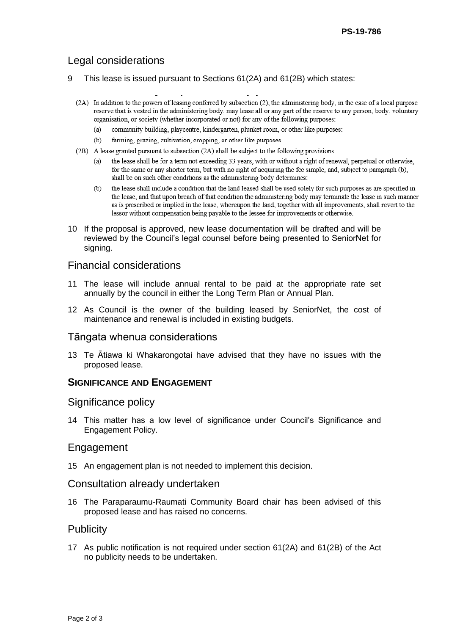## Legal considerations

- 9 This lease is issued pursuant to Sections 61(2A) and 61(2B) which states:
	- (2A) In addition to the powers of leasing conferred by subsection (2), the administering body, in the case of a local purpose reserve that is vested in the administering body, may lease all or any part of the reserve to any person, body, voluntary organisation, or society (whether incorporated or not) for any of the following purposes:
		- $(a)$ community building, playcentre, kindergarten, plunket room, or other like purposes:
		- farming, grazing, cultivation, cropping, or other like purposes.  $(b)$
	- (2B) A lease granted pursuant to subsection (2A) shall be subject to the following provisions:
		- $(a)$ the lease shall be for a term not exceeding 33 years, with or without a right of renewal, perpetual or otherwise, for the same or any shorter term, but with no right of acquiring the fee simple, and, subject to paragraph (b), shall be on such other conditions as the administering body determines:
		- the lease shall include a condition that the land leased shall be used solely for such purposes as are specified in  $(b)$ the lease, and that upon breach of that condition the administering body may terminate the lease in such manner as is prescribed or implied in the lease, whereupon the land, together with all improvements, shall revert to the lessor without compensation being payable to the lessee for improvements or otherwise.
- 10 If the proposal is approved, new lease documentation will be drafted and will be reviewed by the Council's legal counsel before being presented to SeniorNet for signing.

## Financial considerations

- 11 The lease will include annual rental to be paid at the appropriate rate set annually by the council in either the Long Term Plan or Annual Plan.
- 12 As Council is the owner of the building leased by SeniorNet, the cost of maintenance and renewal is included in existing budgets.

### Tāngata whenua considerations

13 Te Ātiawa ki Whakarongotai have advised that they have no issues with the proposed lease.

### **SIGNIFICANCE AND ENGAGEMENT**

### Significance policy

14 This matter has a low level of significance under Council's Significance and Engagement Policy.

### Engagement

15 An engagement plan is not needed to implement this decision.

### Consultation already undertaken

16 The Paraparaumu-Raumati Community Board chair has been advised of this proposed lease and has raised no concerns.

## **Publicity**

17 As public notification is not required under section 61(2A) and 61(2B) of the Act no publicity needs to be undertaken.